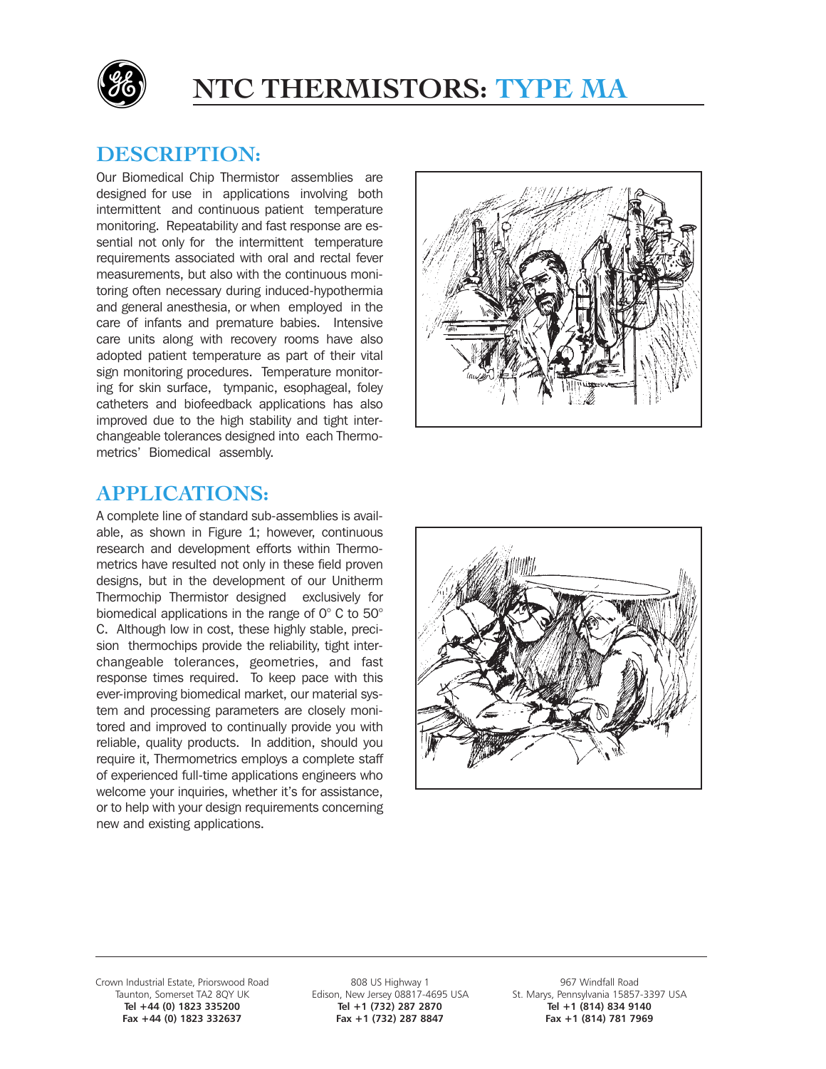

# **NTC THERMISTORS: TYPE MA**

## **DESCRIPTION:**

Our Biomedical Chip Thermistor assemblies are designed for use in applications involving both intermittent and continuous patient temperature monitoring. Repeatability and fast response are essential not only for the intermittent temperature requirements associated with oral and rectal fever measurements, but also with the continuous monitoring often necessary during induced-hypothermia and general anesthesia, or when employed in the care of infants and premature babies. Intensive care units along with recovery rooms have also adopted patient temperature as part of their vital sign monitoring procedures. Temperature monitoring for skin surface, tympanic, esophageal, foley catheters and biofeedback applications has also improved due to the high stability and tight interchangeable tolerances designed into each Thermometrics' Biomedical assembly.



## **APPLICATIONS:**

A complete line of standard sub-assemblies is available, as shown in Figure 1; however, continuous research and development efforts within Thermometrics have resulted not only in these field proven designs, but in the development of our Unitherm Thermochip Thermistor designed exclusively for biomedical applications in the range of 0° C to 50° C. Although low in cost, these highly stable, precision thermochips provide the reliability, tight interchangeable tolerances, geometries, and fast response times required. To keep pace with this ever-improving biomedical market, our material system and processing parameters are closely monitored and improved to continually provide you with reliable, quality products. In addition, should you require it, Thermometrics employs a complete staff of experienced full-time applications engineers who welcome your inquiries, whether it's for assistance, or to help with your design requirements concerning new and existing applications.



Grown Industrial Estate, Priorswood Road 808 US Highway 1 888 US Howard 808 US Howard 1 967 Windfall Road 5857<br>Taunton, Somerset TA2 8QY UK Edison, New Jersey 08817-4695 USA St. Marys, Pennsylvania 15857-Fax +44 (0) 1823 332637

unton, Somerset TA2 8QY UK Edison, New Jersey 08817-4695 USA St. Marys, Pennsylvania 15857-3397 USA<br>Tel +44 (0) 1823 335200 Tel +1 (732) 287 2870 Tel +1 (814) 834 9140 Tel +1 (732) 287 2870<br>
Fax +1 (732) 287 8847<br>
Fax +1 (814) 781 7969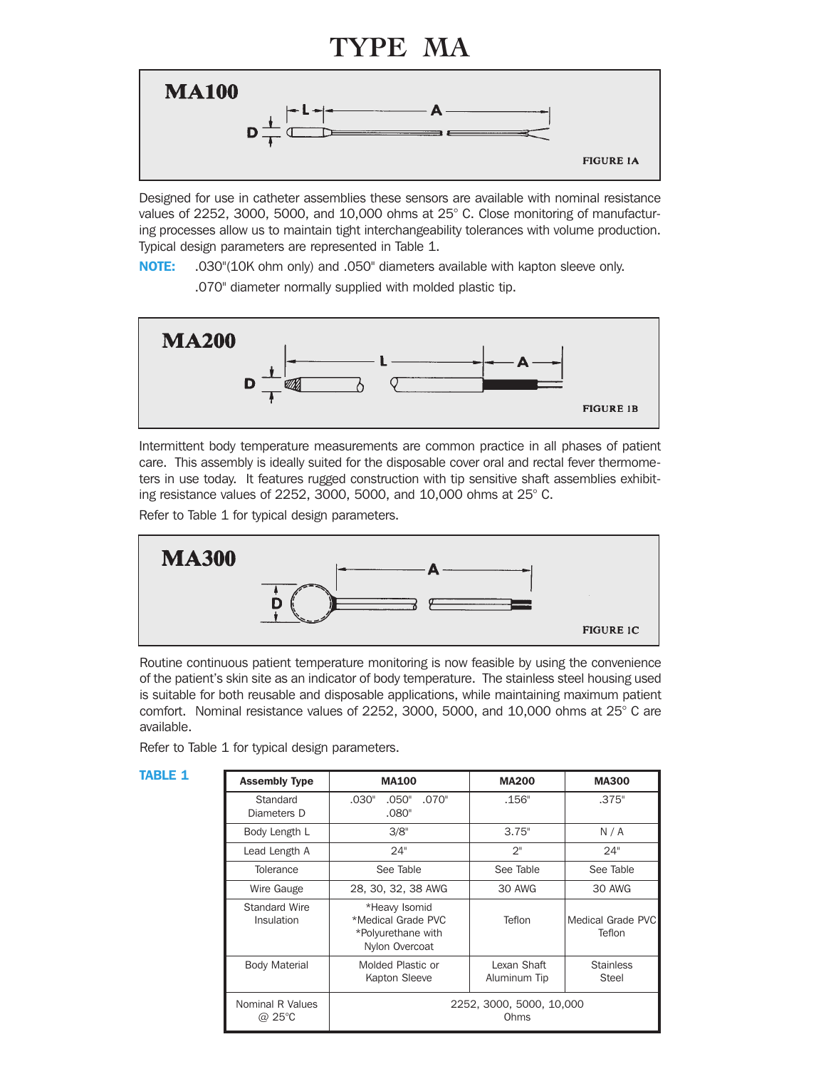# **TYPE MA**



Designed for use in catheter assemblies these sensors are available with nominal resistance values of 2252, 3000, 5000, and 10,000 ohms at 25° C. Close monitoring of manufacturing processes allow us to maintain tight interchangeability tolerances with volume production. Typical design parameters are represented in Table 1.

NOTE: .030"(10K ohm only) and .050" diameters available with kapton sleeve only.

.070" diameter normally supplied with molded plastic tip.



Intermittent body temperature measurements are common practice in all phases of patient care. This assembly is ideally suited for the disposable cover oral and rectal fever thermometers in use today. It features rugged construction with tip sensitive shaft assemblies exhibiting resistance values of 2252, 3000, 5000, and 10,000 ohms at 25° C.

Refer to Table 1 for typical design parameters.



Routine continuous patient temperature monitoring is now feasible by using the convenience of the patient's skin site as an indicator of body temperature. The stainless steel housing used is suitable for both reusable and disposable applications, while maintaining maximum patient comfort. Nominal resistance values of 2252, 3000, 5000, and 10,000 ohms at 25° C are available.

Refer to Table 1 for typical design parameters.

| Table 1 | <b>Assembly Type</b>               | <b>MA100</b>                                                                | <b>MA200</b>                | <b>MA300</b>                |
|---------|------------------------------------|-----------------------------------------------------------------------------|-----------------------------|-----------------------------|
|         | Standard<br>Diameters D            | .030"<br>.050"<br>.070"<br>.080"                                            | .156"                       | .375"                       |
|         | Body Length L                      | 3/8"                                                                        | 3.75"                       | N/A                         |
|         | Lead Length A                      | 24"                                                                         | $2^{\mathsf{H}}$            | 24"                         |
|         | <b>Tolerance</b>                   | See Table                                                                   | See Table                   | See Table                   |
|         | Wire Gauge                         | 28, 30, 32, 38 AWG                                                          | 30 AWG                      | 30 AWG                      |
|         | Standard Wire<br><b>Insulation</b> | *Heavy Isomid<br>*Medical Grade PVC<br>*Polyurethane with<br>Nylon Overcoat | Teflon                      | Medical Grade PVC<br>Teflon |
|         | <b>Body Material</b>               | Molded Plastic or<br>Kapton Sleeve                                          | Lexan Shaft<br>Aluminum Tip | <b>Stainless</b><br>Steel   |
|         | Nominal R Values<br>@ 25°C         | 2252, 3000, 5000, 10,000<br>Ohms                                            |                             |                             |